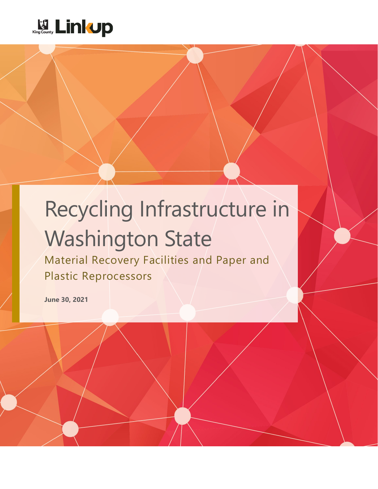

# Recycling Infrastructure in Washington State

Material Recovery Facilities and Paper and Plastic Reprocessors

**June 30, 2021**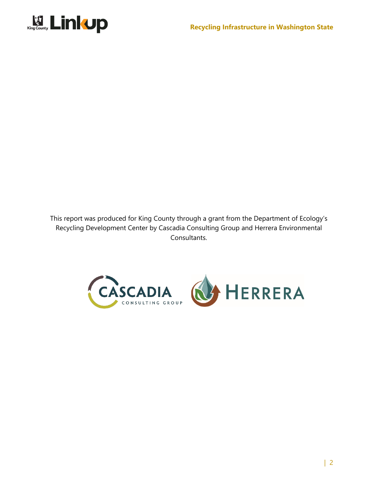

<span id="page-1-0"></span>This report was produced for King County through a grant from the Department of Ecology's Recycling Development Center by Cascadia Consulting Group and Herrera Environmental Consultants.

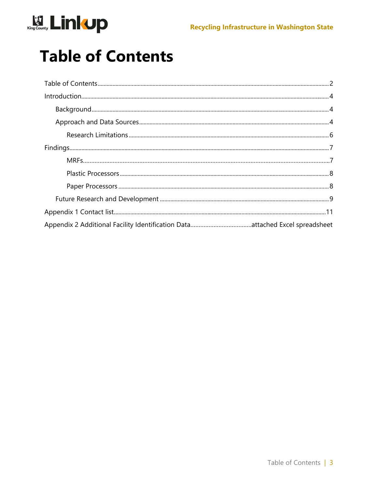

### **Table of Contents**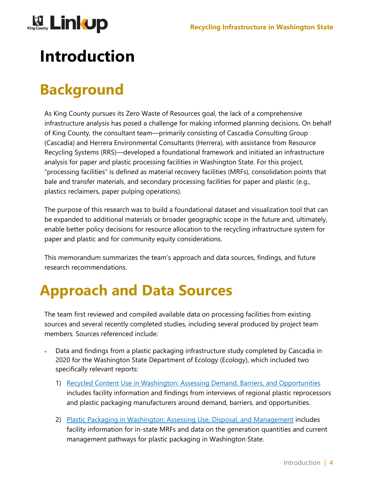

### <span id="page-3-0"></span>**Introduction**

### <span id="page-3-1"></span>**Background**

As King County pursues its Zero Waste of Resources goal, the lack of a comprehensive infrastructure analysis has posed a challenge for making informed planning decisions. On behalf of King County, the consultant team—primarily consisting of Cascadia Consulting Group (Cascadia) and Herrera Environmental Consultants (Herrera), with assistance from Resource Recycling Systems (RRS)—developed a foundational framework and initiated an infrastructure analysis for paper and plastic processing facilities in Washington State. For this project, "processing facilities" is defined as material recovery facilities (MRFs), consolidation points that bale and transfer materials, and secondary processing facilities for paper and plastic (e.g., plastics reclaimers, paper pulping operations).

The purpose of this research was to build a foundational dataset and visualization tool that can be expanded to additional materials or broader geographic scope in the future and, ultimately, enable better policy decisions for resource allocation to the recycling infrastructure system for paper and plastic and for community equity considerations.

This memorandum summarizes the team's approach and data sources, findings, and future research recommendations.

### <span id="page-3-2"></span>**Approach and Data Sources**

The team first reviewed and compiled available data on processing facilities from existing sources and several recently completed studies, including several produced by project team members. Sources referenced include:

- Data and findings from a plastic packaging infrastructure study completed by Cascadia in 2020 for the Washington State Department of Ecology (Ecology), which included two specifically relevant reports:
	- 1) Recycled Content Use in Washington: Assessing Demand, Barriers, and Opportunities includes facility information and findings from interviews of regional plastic reprocessors and plastic packaging manufacturers around demand, barriers, and opportunities.
	- 2) Plastic Packaging in Washington: Assessing Use, Disposal, and Management includes facility information for in-state MRFs and data on the generation quantities and current management pathways for plastic packaging in Washington State.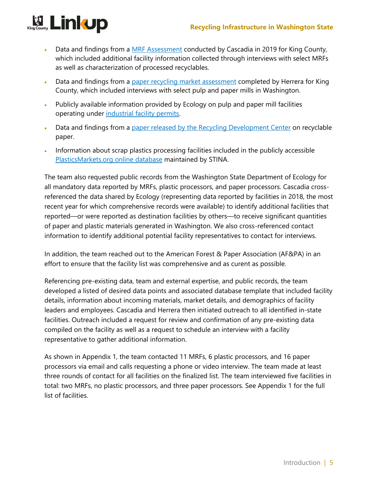#### **Recycling Infrastructure in Washington State**



- Data and findings from a MRF Assessment conducted by Cascadia in 2019 for King County, which included additional facility information collected through interviews with select MRFs as well as characterization of processed recyclables.
- Data and findings from a paper recycling market assessment completed by Herrera for King County, which included interviews with select pulp and paper mills in Washington.
- Publicly available information provided by Ecology on pulp and paper mill facilities operating under industrial facility permits.
- Data and findings from a paper released by the Recycling Development Center on recyclable paper.
- Information about scrap plastics processing facilities included in the publicly accessible PlasticsMarkets.org online database maintained by STINA.

The team also requested public records from the Washington State Department of Ecology for all mandatory data reported by MRFs, plastic processors, and paper processors. Cascadia crossreferenced the data shared by Ecology (representing data reported by facilities in 2018, the most recent year for which comprehensive records were available) to identify additional facilities that reported—or were reported as destination facilities by others—to receive significant quantities of paper and plastic materials generated in Washington. We also cross-referenced contact information to identify additional potential facility representatives to contact for interviews.

In addition, the team reached out to the American Forest & Paper Association (AF&PA) in an effort to ensure that the facility list was comprehensive and as curent as possible.

Referencing pre-existing data, team and external expertise, and public records, the team developed a listed of desired data points and associated database template that included facility details, information about incoming materials, market details, and demographics of facility leaders and employees. Cascadia and Herrera then initiated outreach to all identified in-state facilities. Outreach included a request for review and confirmation of any pre-existing data compiled on the facility as well as a request to schedule an interview with a facility representative to gather additional information.

As shown in [Appendix 1,](#page-10-0) the team contacted 11 MRFs, 6 plastic processors, and 16 paper processors via email and calls requesting a phone or video interview. The team made at least three rounds of contact for all facilities on the finalized list. The team interviewed five facilities in total: two MRFs, no plastic processors, and three paper processors. See [Appendix 1](#page-10-0) for the full list of facilities.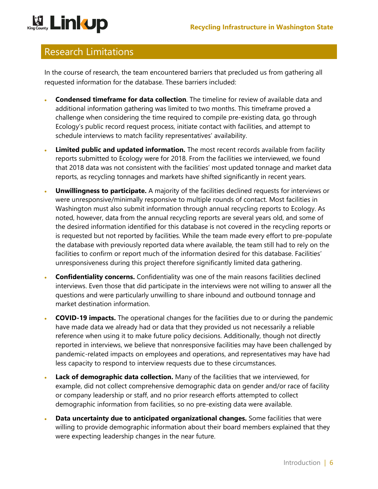# **Einkup**

#### <span id="page-5-0"></span>Research Limitations

In the course of research, the team encountered barriers that precluded us from gathering all requested information for the database. These barriers included:

- **Condensed timeframe for data collection**. The timeline for review of available data and additional information gathering was limited to two months. This timeframe proved a challenge when considering the time required to compile pre-existing data, go through Ecology's public record request process, initiate contact with facilities, and attempt to schedule interviews to match facility representatives' availability.
- **Limited public and updated information.** The most recent records available from facility reports submitted to Ecology were for 2018. From the facilities we interviewed, we found that 2018 data was not consistent with the facilities' most updated tonnage and market data reports, as recycling tonnages and markets have shifted significantly in recent years.
- **Unwillingness to participate.** A majority of the facilities declined requests for interviews or were unresponsive/minimally responsive to multiple rounds of contact. Most facilities in Washington must also submit information through annual recycling reports to Ecology. As noted, however, data from the annual recycling reports are several years old, and some of the desired information identified for this database is not covered in the recycling reports or is requested but not reported by facilities. While the team made every effort to pre-populate the database with previously reported data where available, the team still had to rely on the facilities to confirm or report much of the information desired for this database. Facilities' unresponsiveness during this project therefore significantly limited data gathering.
- **Confidentiality concerns.** Confidentiality was one of the main reasons facilities declined interviews. Even those that did participate in the interviews were not willing to answer all the questions and were particularly unwilling to share inbound and outbound tonnage and market destination information.
- **COVID-19 impacts.** The operational changes for the facilities due to or during the pandemic have made data we already had or data that they provided us not necessarily a reliable reference when using it to make future policy decisions. Additionally, though not directly reported in interviews, we believe that nonresponsive facilities may have been challenged by pandemic-related impacts on employees and operations, and representatives may have had less capacity to respond to interview requests due to these circumstances.
- Lack of demographic data collection. Many of the facilities that we interviewed, for example, did not collect comprehensive demographic data on gender and/or race of facility or company leadership or staff, and no prior research efforts attempted to collect demographic information from facilities, so no pre-existing data were available.
- **Data uncertainty due to anticipated organizational changes.** Some facilities that were willing to provide demographic information about their board members explained that they were expecting leadership changes in the near future.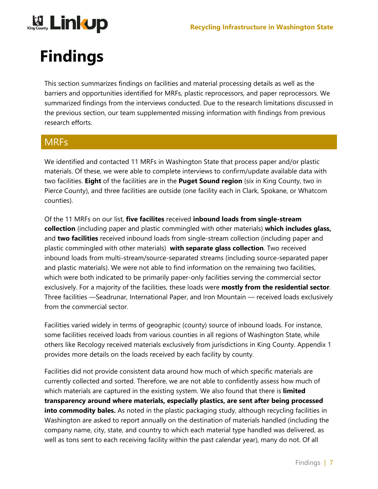

### <span id="page-6-0"></span>**Findings**

This section summarizes findings on facilities and material processing details as well as the barriers and opportunities identified for MRFs, plastic reprocessors, and paper reprocessors. We summarized findings from the interviews conducted. Due to the research limitations discussed in the previous section, our team supplemented missing information with findings from previous research efforts.

#### <span id="page-6-1"></span>**MRFs**

We identified and contacted 11 MRFs in Washington State that process paper and/or plastic materials. Of these, we were able to complete interviews to confirm/update available data with two facilities. **Eight** of the facilities are in the **Puget Sound region** (six in King County, two in Pierce County), and three facilities are outside (one facility each in Clark, Spokane, or Whatcom counties).

Of the 11 MRFs on our list, **five facilites** received **inbound loads from single-stream collection** (including paper and plastic commingled with other materials) **which includes glass,** and **two facilities** received inbound loads from single-stream collection (including paper and plastic commingled with other materials) **with separate glass collection**. Two received inbound loads from multi-stream/source-separated streams (including source-separated paper and plastic materials). We were not able to find information on the remaining two facilities, which were both indicated to be primarily paper-only facilities serving the commercial sector exclusively. For a majority of the facilities, these loads were **mostly from the residential sector**. Three facilities —Seadrunar, International Paper, and Iron Mountain — received loads exclusively from the commercial sector.

Facilities varied widely in terms of geographic (county) source of inbound loads. For instance, some facilities received loads from various counties in all regions of Washington State, while others like Recology received materials exclusively from jurisdictions in King County. [Appendix 1](#page-10-0) provides more details on the loads received by each facility by county.

Facilities did not provide consistent data around how much of which specific materials are currently collected and sorted. Therefore, we are not able to confidently assess how much of which materials are captured in the existing system. We also found that there is **limited transparency around where materials, especially plastics, are sent after being processed into commodity bales.** As noted in the plastic packaging study, although recycling facilities in Washington are asked to report annually on the destination of materials handled (including the company name, city, state, and country to which each material type handled was delivered, as well as tons sent to each receiving facility within the past calendar year), many do not. Of all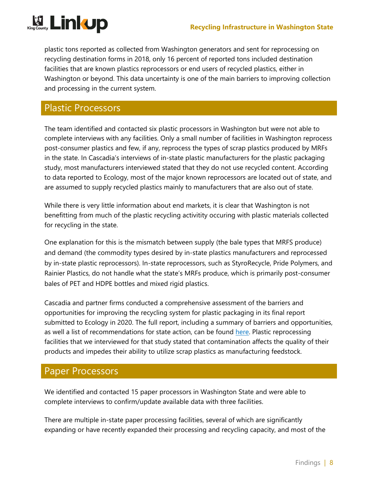

plastic tons reported as collected from Washington generators and sent for reprocessing on recycling destination forms in 2018, only 16 percent of reported tons included destination facilities that are known plastics reprocessors or end users of recycled plastics, either in Washington or beyond. This data uncertainty is one of the main barriers to improving collection and processing in the current system.

#### <span id="page-7-0"></span>Plastic Processors

The team identified and contacted six plastic processors in Washington but were not able to complete interviews with any facilities. Only a small number of facilities in Washington reprocess post-consumer plastics and few, if any, reprocess the types of scrap plastics produced by MRFs in the state. In Cascadia's interviews of in-state plastic manufacturers for the plastic packaging study, most manufacturers interviewed stated that they do not use recycled content. According to data reported to Ecology, most of the major known reprocessors are located out of state, and are assumed to supply recycled plastics mainly to manufacturers that are also out of state.

While there is very little information about end markets, it is clear that Washington is not benefitting from much of the plastic recycling activitity occuring with plastic materials collected for recycling in the state.

One explanation for this is the mismatch between supply (the bale types that MRFS produce) and demand (the commodity types desired by in-state plastics manufacturers and reprocessed by in-state plastic reprocessors). In-state reprocessors, such as StyroRecycle, Pride Polymers, and Rainier Plastics, do not handle what the state's MRFs produce, which is primarily post-consumer bales of PET and HDPE bottles and mixed rigid plastics.

Cascadia and partner firms conducted a comprehensive assessment of the barriers and opportunities for improving the recycling system for plastic packaging in its final report submitted to Ecology in 2020. The full report, including a summary of barriers and opportunities, as well a list of recommendations for state action, can be found here. Plastic reprocessing facilities that we interviewed for that study stated that contamination affects the quality of their products and impedes their ability to utilize scrap plastics as manufacturing feedstock.

#### <span id="page-7-1"></span>Paper Processors

We identified and contacted 15 paper processors in Washington State and were able to complete interviews to confirm/update available data with three facilities.

There are multiple in-state paper processing facilities, several of which are significantly expanding or have recently expanded their processing and recycling capacity, and most of the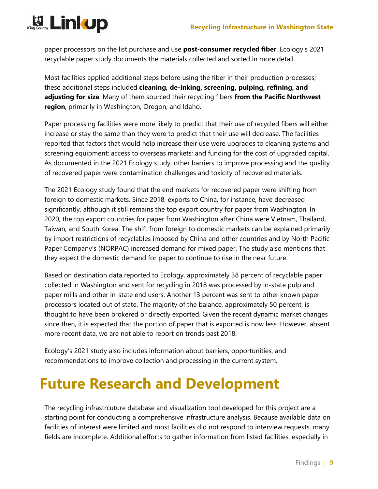

paper processors on the list purchase and use **post-consumer recycled fiber**. Ecology's 2021 recyclable paper study documents the materials collected and sorted in more detail.

Most facilities applied additional steps before using the fiber in their production processes; these additional steps included **cleaning, de-inking, screening, pulping, refining, and adjusting for size**. Many of them sourced their recycling fibers **from the Pacific Northwest region**, primarily in Washington, Oregon, and Idaho.

Paper processing facilities were more likely to predict that their use of recycled fibers will either increase or stay the same than they were to predict that their use will decrease. The facilities reported that factors that would help increase their use were upgrades to cleaning systems and screening equipment; access to overseas markets; and funding for the cost of upgraded capital. As documented in the 2021 Ecology study, other barriers to improve processing and the quality of recovered paper were contamination challenges and toxicity of recovered materials.

The 2021 Ecology study found that the end markets for recovered paper were shifting from foreign to domestic markets. Since 2018, exports to China, for instance, have decreased significantly, although it still remains the top export country for paper from Washington. In 2020, the top export countries for paper from Washington after China were Vietnam, Thailand, Taiwan, and South Korea. The shift from foreign to domestic markets can be explained primarily by import restrictions of recyclables imposed by China and other countries and by North Pacific Paper Company's (NORPAC) increased demand for mixed paper. The study also mentions that they expect the domestic demand for paper to continue to rise in the near future.

Based on destination data reported to Ecology, approximately 38 percent of recyclable paper collected in Washington and sent for recycling in 2018 was processed by in-state pulp and paper mills and other in-state end users. Another 13 percent was sent to other known paper processors located out of state. The majority of the balance, approximately 50 percent, is thought to have been brokered or directly exported. Given the recent dynamic market changes since then, it is expected that the portion of paper that is exported is now less. However, absent more recent data, we are not able to report on trends past 2018.

Ecology's 2021 study also includes information about barriers, opportunities, and recommendations to improve collection and processing in the current system.

#### <span id="page-8-0"></span>**Future Research and Development**

The recycling infrastrcuture database and visualization tool developed for this project are a starting point for conducting a comprehensive infrastructure analysis. Because available data on facilities of interest were limited and most facilities did not respond to interview requests, many fields are incomplete. Additional efforts to gather information from listed facilities, especially in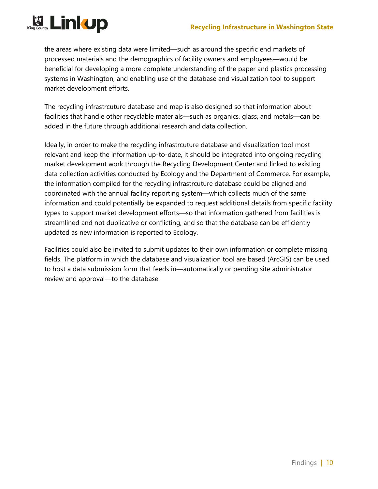

the areas where existing data were limited—such as around the specific end markets of processed materials and the demographics of facility owners and employees—would be beneficial for developing a more complete understanding of the paper and plastics processing systems in Washington, and enabling use of the database and visualization tool to support market development efforts.

The recycling infrastrcuture database and map is also designed so that information about facilities that handle other recyclable materials—such as organics, glass, and metals—can be added in the future through additional research and data collection.

Ideally, in order to make the recycling infrastrcuture database and visualization tool most relevant and keep the information up-to-date, it should be integrated into ongoing recycling market development work through the Recycling Development Center and linked to existing data collection activities conducted by Ecology and the Department of Commerce. For example, the information compiled for the recycling infrastrcuture database could be aligned and coordinated with the annual facility reporting system—which collects much of the same information and could potentially be expanded to request additional details from specific facility types to support market development efforts—so that information gathered from facilities is streamlined and not duplicative or conflicting, and so that the database can be efficiently updated as new information is reported to Ecology.

Facilities could also be invited to submit updates to their own information or complete missing fields. The platform in which the database and visualization tool are based (ArcGIS) can be used to host a data submission form that feeds in—automatically or pending site administrator review and approval—to the database.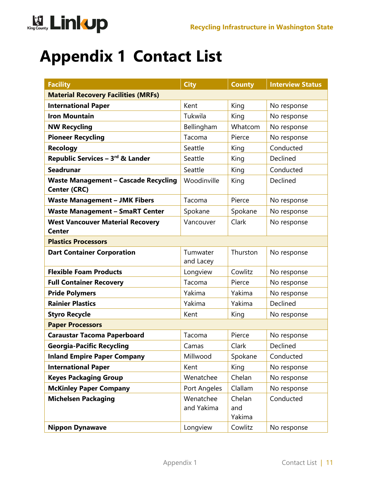

### <span id="page-10-0"></span>**Appendix 1 Contact List**

| <b>Facility</b>                                                    | <b>City</b>             | <b>County</b>           | <b>Interview Status</b> |  |
|--------------------------------------------------------------------|-------------------------|-------------------------|-------------------------|--|
| <b>Material Recovery Facilities (MRFs)</b>                         |                         |                         |                         |  |
| <b>International Paper</b>                                         | Kent                    | King                    | No response             |  |
| <b>Iron Mountain</b>                                               | Tukwila                 | King                    | No response             |  |
| <b>NW Recycling</b>                                                | Bellingham              | Whatcom                 | No response             |  |
| <b>Pioneer Recycling</b>                                           | Tacoma                  | Pierce                  | No response             |  |
| <b>Recology</b>                                                    | Seattle                 | King                    | Conducted               |  |
| Republic Services - 3rd & Lander                                   | Seattle                 | King                    | Declined                |  |
| <b>Seadrunar</b>                                                   | Seattle                 | King                    | Conducted               |  |
| <b>Waste Management - Cascade Recycling</b><br><b>Center (CRC)</b> | Woodinville             | King                    | Declined                |  |
| <b>Waste Management - JMK Fibers</b>                               | Tacoma                  | Pierce                  | No response             |  |
| <b>Waste Management - SmaRT Center</b>                             | Spokane                 | Spokane                 | No response             |  |
| <b>West Vancouver Material Recovery</b><br><b>Center</b>           | Vancouver               | Clark                   | No response             |  |
| <b>Plastics Processors</b>                                         |                         |                         |                         |  |
| <b>Dart Container Corporation</b>                                  | Tumwater<br>and Lacey   | Thurston                | No response             |  |
| <b>Flexible Foam Products</b>                                      | Longview                | Cowlitz                 | No response             |  |
| <b>Full Container Recovery</b>                                     | Tacoma                  | Pierce                  | No response             |  |
| <b>Pride Polymers</b>                                              | Yakima                  | Yakima                  | No response             |  |
| <b>Rainier Plastics</b>                                            | Yakima                  | Yakima                  | Declined                |  |
| <b>Styro Recycle</b>                                               | Kent                    | King                    | No response             |  |
| <b>Paper Processors</b>                                            |                         |                         |                         |  |
| <b>Caraustar Tacoma Paperboard</b>                                 | Tacoma                  | Pierce                  | No response             |  |
| <b>Georgia-Pacific Recycling</b>                                   | Camas                   | Clark                   | Declined                |  |
| <b>Inland Empire Paper Company</b>                                 | Millwood                | Spokane                 | Conducted               |  |
| <b>International Paper</b>                                         | Kent                    | King                    | No response             |  |
| <b>Keyes Packaging Group</b>                                       | Wenatchee               | Chelan                  | No response             |  |
| <b>McKinley Paper Company</b>                                      | Port Angeles            | Clallam                 | No response             |  |
| <b>Michelsen Packaging</b>                                         | Wenatchee<br>and Yakima | Chelan<br>and<br>Yakima | Conducted               |  |
| <b>Nippon Dynawave</b>                                             | Longview                | Cowlitz                 | No response             |  |